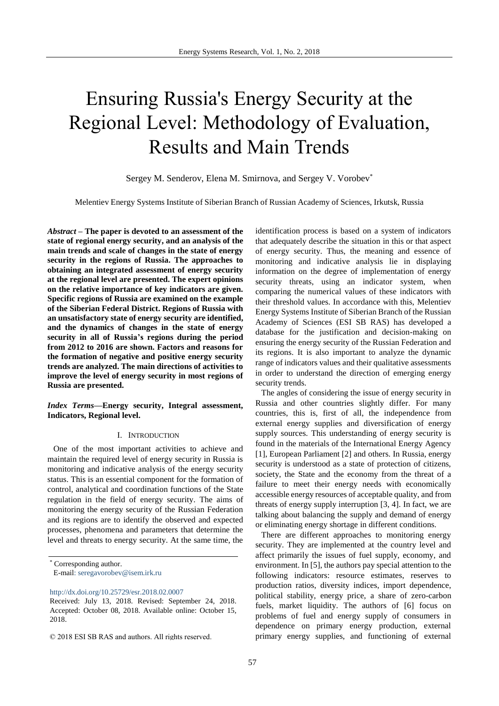# Ensuring Russia's Energy Security at the Regional Level: Methodology of Evaluation, Results and Main Trends

Sergey M. Senderov, Elena M. Smirnova, and Sergey V. Vorobev\*

Melentiev Energy Systems Institute of Siberian Branch of Russian Academy of Sciences, Irkutsk, Russia

*Abstract* **– The paper is devoted to an assessment of the state of regional energy security, and an analysis of the main trends and scale of changes in the state of energy security in the regions of Russia. The approaches to obtaining an integrated assessment of energy security at the regional level are presented. The expert opinions on the relative importance of key indicators are given. Specific regions of Russia are examined on the example of the Siberian Federal District. Regions of Russia with an unsatisfactory state of energy security are identified, and the dynamics of changes in the state of energy security in all of Russia's regions during the period from 2012 to 2016 are shown. Factors and reasons for the formation of negative and positive energy security trends are analyzed. The main directions of activities to improve the level of energy security in most regions of Russia are presented.**

# *Index Terms***—Energy security, Integral assessment, Indicators, Regional level.**

#### I. INTRODUCTION

One of the most important activities to achieve and maintain the required level of energy security in Russia is monitoring and indicative analysis of the energy security status. This is an essential component for the formation of control, analytical and coordination functions of the State regulation in the field of energy security. The aims of monitoring the energy security of the Russian Federation and its regions are to identify the observed and expected processes, phenomena and parameters that determine the level and threats to energy security. At the same time, the

\* Corresponding author.

E-mail: [seregavorobev@isem.irk.ru](mailto:seregavorobev@isem.irk.ru)

<http://dx.doi.org/10.25729/esr.2018.02.0007>

identification process is based on a system of indicators that adequately describe the situation in this or that aspect of energy security. Thus, the meaning and essence of monitoring and indicative analysis lie in displaying information on the degree of implementation of energy security threats, using an indicator system, when comparing the numerical values of these indicators with their threshold values. In accordance with this, Melentiev Energy Systems Institute of Siberian Branch of the Russian Academy of Sciences (ESI SB RAS) has developed a database for the justification and decision-making on ensuring the energy security of the Russian Federation and its regions. It is also important to analyze the dynamic range of indicators values and their qualitative assessments in order to understand the direction of emerging energy security trends.

The angles of considering the issue of energy security in Russia and other countries slightly differ. For many countries, this is, first of all, the independence from external energy supplies and diversification of energy supply sources. This understanding of energy security is found in the materials of the International Energy Agency [1], European Parliament [2] and others. In Russia, energy security is understood as a state of protection of citizens, society, the State and the economy from the threat of a failure to meet their energy needs with economically accessible energy resources of acceptable quality, and from threats of energy supply interruption [3, 4]. In fact, we are talking about balancing the supply and demand of energy or eliminating energy shortage in different conditions.

There are different approaches to monitoring energy security. They are implemented at the country level and affect primarily the issues of fuel supply, economy, and environment. In [5], the authors pay special attention to the following indicators: resource estimates, reserves to production ratios, diversity indices, import dependence, political stability, energy price, a share of zero-carbon fuels, market liquidity. The authors of [6] focus on problems of fuel and energy supply of consumers in dependence on primary energy production, external primary energy supplies, and functioning of external

Received: July 13, 2018. Revised: September 24, 2018. Accepted: October 08, 2018. Available online: October 15, 2018.

<sup>© 2018</sup> ESI SB RAS and authors. All rights reserved.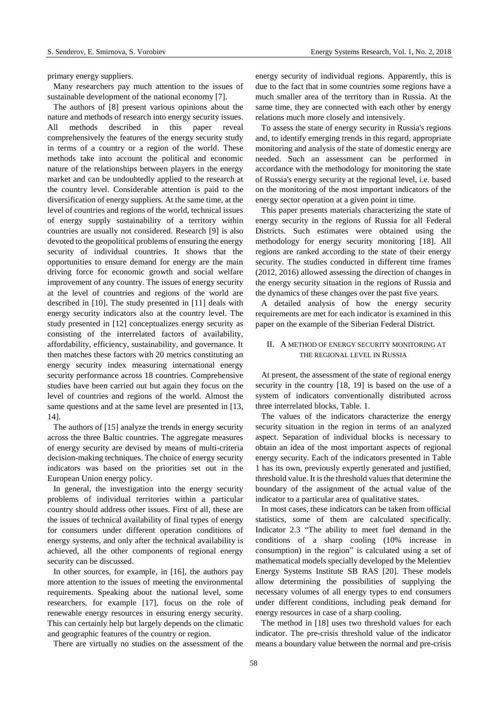primary energy suppliers.

Many researchers pay much attention to the issues of sustainable development of the national economy [7].

The authors of [8] present various opinions about the nature and methods of research into energy security issues. All methods described in this paper reveal comprehensively the features of the energy security study in terms of a country or a region of the world. These methods take into account the political and economic nature of the relationships between players in the energy market and can be undoubtedly applied to the research at the country level. Considerable attention is paid to the diversification of energy suppliers. At the same time, at the level of countries and regions of the world, technical issues of energy supply sustainability of a territory within countries are usually not considered. Research [9] is also devoted to the geopolitical problems of ensuring the energy security of individual countries. It shows that the opportunities to ensure demand for energy are the main driving force for economic growth and social welfare improvement of any country. The issues of energy security at the level of countries and regions of the world are described in [10]. The study presented in [11] deals with energy security indicators also at the country level. The study presented in [12] conceptualizes energy security as consisting of the interrelated factors of availability, affordability, efficiency, sustainability, and governance. It then matches these factors with 20 metrics constituting an energy security index measuring international energy security performance across 18 countries. Comprehensive studies have been carried out but again they focus on the level of countries and regions of the world. Almost the same questions and at the same level are presented in [13, 14].

The authors of [15] analyze the trends in energy security across the three Baltic countries. The aggregate measures of energy security are devised by means of multi-criteria decision-making techniques. The choice of energy security indicators was based on the priorities set out in the European Union energy policy.

In general, the investigation into the energy security problems of individual territories within a particular country should address other issues. First of all, these are the issues of technical availability of final types of energy for consumers under different operation conditions of energy systems, and only after the technical availability is achieved, all the other components of regional energy security can be discussed.

In other sources, for example, in [16], the authors pay more attention to the issues of meeting the environmental requirements. Speaking about the national level, some researchers, for example [17], focus on the role of renewable energy resources in ensuring energy security. This can certainly help but largely depends on the climatic and geographic features of the country or region.

There are virtually no studies on the assessment of the

energy security of individual regions. Apparently, this is due to the fact that in some countries some regions have a much smaller area of the territory than in Russia. At the same time, they are connected with each other by energy relations much more closely and intensively.

To assess the state of energy security in Russia's regions and, to identify emerging trends in this regard, appropriate monitoring and analysis of the state of domestic energy are needed. Such an assessment can be performed in accordance with the methodology for monitoring the state of Russia's energy security at the regional level, i.e. based on the monitoring of the most important indicators of the energy sector operation at a given point in time.

This paper presents materials characterizing the state of energy security in the regions of Russia for all Federal Districts. Such estimates were obtained using the methodology for energy security monitoring [18]. All regions are ranked according to the state of their energy security. The studies conducted in different time frames (2012, 2016) allowed assessing the direction of changes in the energy security situation in the regions of Russia and the dynamics of these changes over the past five years.

A detailed analysis of how the energy security requirements are met for each indicator is examined in this paper on the example of the Siberian Federal District.

# II. A METHOD OF ENERGY SECURITY MONITORING AT THE REGIONAL LEVEL IN RUSSIA

At present, the assessment of the state of regional energy security in the country [18, 19] is based on the use of a system of indicators conventionally distributed across three interrelated blocks, Table. 1.

The values of the indicators characterize the energy security situation in the region in terms of an analyzed aspect. Separation of individual blocks is necessary to obtain an idea of the most important aspects of regional energy security. Each of the indicators presented in Table 1 has its own, previously expertly generated and justified, threshold value. It is the threshold values that determine the boundary of the assignment of the actual value of the indicator to a particular area of qualitative states.

In most cases, these indicators can be taken from official statistics, some of them are calculated specifically. Indicator 2.3 "The ability to meet fuel demand in the conditions of a sharp cooling (10% increase in consumption) in the region" is calculated using a set of mathematical models specially developed by the Melentiev Energy Systems Institute SB RAS [20]. These models allow determining the possibilities of supplying the necessary volumes of all energy types to end consumers under different conditions, including peak demand for energy resources in case of a sharp cooling.

The method in [18] uses two threshold values for each indicator. The pre-crisis threshold value of the indicator means a boundary value between the normal and pre-crisis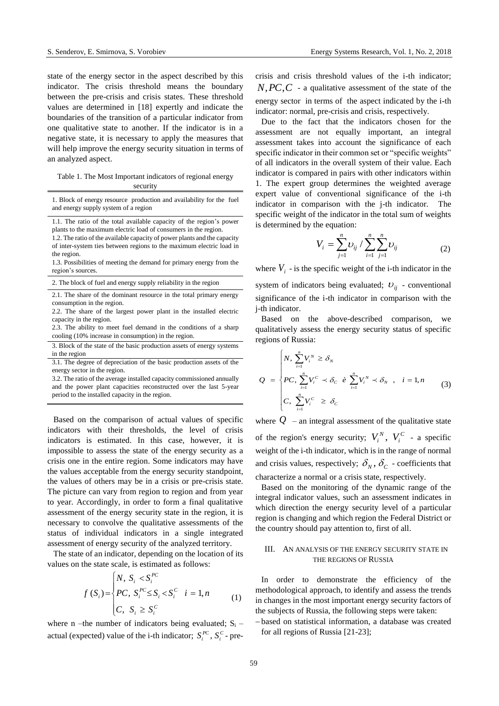state of the energy sector in the aspect described by this indicator. The crisis threshold means the boundary between the pre-crisis and crisis states. These threshold values are determined in [18] expertly and indicate the boundaries of the transition of a particular indicator from one qualitative state to another. If the indicator is in a negative state, it is necessary to apply the measures that will help improve the energy security situation in terms of an analyzed aspect.

#### Table 1. The Most Important indicators of regional energy security

1. Block of energy resource production and availability for the fuel and energy supply system of a region

1.1. The ratio of the total available capacity of the region's power plants to the maximum electric load of consumers in the region.

1.2. The ratio of the available capacity of power plants and the capacity of inter-system ties between regions to the maximum electric load in the region.

1.3. Possibilities of meeting the demand for primary energy from the region's sources.

2. The block of fuel and energy supply reliability in the region

2.1. The share of the dominant resource in the total primary energy consumption in the region.

2.2. The share of the largest power plant in the installed electric capacity in the region.

2.3. The ability to meet fuel demand in the conditions of a sharp cooling (10% increase in consumption) in the region.

3. Block of the state of the basic production assets of energy systems in the region

3.1. The degree of depreciation of the basic production assets of the energy sector in the region.

3.2. The ratio of the average installed capacity commissioned annually and the power plant capacities reconstructed over the last 5-year period to the installed capacity in the region.

Based on the comparison of actual values of specific indicators with their thresholds, the level of crisis indicators is estimated. In this case, however, it is impossible to assess the state of the energy security as a crisis one in the entire region. Some indicators may have the values acceptable from the energy security standpoint, the values of others may be in a crisis or pre-crisis state. The picture can vary from region to region and from year to year. Accordingly, in order to form a final qualitative assessment of the energy security state in the region, it is necessary to convolve the qualitative assessments of the status of individual indicators in a single integrated assessment of energy security of the analyzed territory.

The state of an indicator, depending on the location of its values on the state scale, is estimated as follows:

$$
f(S_i) = \begin{cases} N, S_i < S_i^{PC} \\ PC, S_i^{PC} \le S_i < S_i^{C} \\ C, S_i \ge S_i^{C} \end{cases} \quad i = 1, n \tag{1}
$$

where n –the number of indicators being evaluated;  $S_i$  – actual (expected) value of the i-th indicator;  $S_i^{PC}$ ,  $S_i^C$ -precrisis and crisis threshold values of the i-th indicator; *N*,*PC*,*C* - a qualitative assessment of the state of the energy sector in terms of the aspect indicated by the i-th indicator: normal, pre-crisis and crisis, respectively.

Due to the fact that the indicators chosen for the assessment are not equally important, an integral assessment takes into account the significance of each specific indicator in their common set or "specific weights" of all indicators in the overall system of their value. Each indicator is compared in pairs with other indicators within 1. The expert group determines the weighted average expert value of conventional significance of the i-th indicator in comparison with the j-th indicator. The specific weight of the indicator in the total sum of weights is determined by the equation:

$$
V_i = \sum_{j=1}^{n} U_{ij} / \sum_{i=1}^{n} \sum_{j=1}^{n} U_{ij}
$$
 (2)

where  $V_i$  - is the specific weight of the i-th indicator in the system of indicators being evaluated;  $U_{ij}$  - conventional significance of the i-th indicator in comparison with the j-th indicator.

Based on the above-described comparison, we qualitatively assess the energy security status of specific regions of Russia:

$$
Q = \begin{cases} N, \sum_{i=1}^{n} V_i^N \ge \delta_N \\ PC, \sum_{i=1}^{n} V_i^C \prec \delta_C \quad \text{if} \quad \sum_{i=1}^{n} V_i^N \prec \delta_N, \quad i = 1, n \\ C, \sum_{i=1}^{n} V_i^C \ge \delta_C \end{cases}
$$
(3)

where  $Q$  – an integral assessment of the qualitative state of the region's energy security;  $V_i^N$ ,  $V_i^C$  $V_i^N$ ,  $V_i^C$  - a specific weight of the i-th indicator, which is in the range of normal and crisis values, respectively;  $\delta_N$ ,  $\delta_C$  - coefficients that characterize a normal or a crisis state, respectively.

Based on the monitoring of the dynamic range of the integral indicator values, such an assessment indicates in which direction the energy security level of a particular region is changing and which region the Federal District or the country should pay attention to, first of all.

## III. AN ANALYSIS OF THE ENERGY SECURITY STATE IN THE REGIONS OF RUSSIA

In order to demonstrate the efficiency of the methodological approach, to identify and assess the trends in changes in the most important energy security factors of the subjects of Russia, the following steps were taken:

 based on statistical information, a database was created for all regions of Russia [21-23];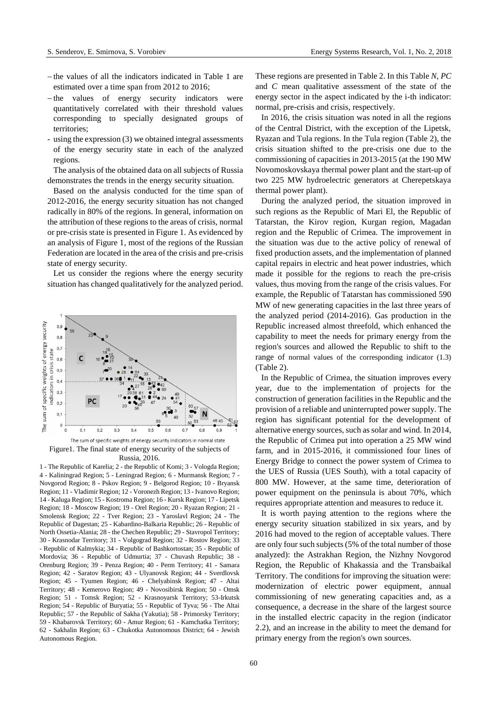- $-$  the values of all the indicators indicated in Table 1 are estimated over a time span from 2012 to 2016;
- $-th$  values of energy security indicators were quantitatively correlated with their threshold values corresponding to specially designated groups of territories;
- using the expression (3) we obtained integral assessments of the energy security state in each of the analyzed regions.

The analysis of the obtained data on all subjects of Russia demonstrates the trends in the energy security situation.

Based on the analysis conducted for the time span of 2012-2016, the energy security situation has not changed radically in 80% of the regions. In general, information on the attribution of these regions to the areas of crisis, normal or pre-crisis state is presented in Figure 1. As evidenced by an analysis of Figure 1, most of the regions of the Russian Federation are located in the area of the crisis and pre-crisis state of energy security.

Let us consider the regions where the energy security situation has changed qualitatively for the analyzed period.



Russia, 2016.

1 - The Republic of Karelia; 2 - the Republic of Komi; 3 - Vologda Region; 4 - Kaliningrad Region; 5 - Leningrad Region; 6 - Murmansk Region; 7 - Novgorod Region; 8 - Pskov Region; 9 - Belgorod Region; 10 - Bryansk Region; 11 - Vladimir Region; 12 - Voronezh Region; 13 - Ivanovo Region; 14 - Kaluga Region; 15 - Kostroma Region; 16 - Kursk Region; 17 - Lipetsk Region; 18 - Moscow Region; 19 - Orel Region; 20 - Ryazan Region; 21 - Smolensk Region; 22 - Tver Region; 23 - Yaroslavl Region; 24 - The Republic of Dagestan; 25 - Kabardino-Balkaria Republic; 26 - Republic of North Ossetia-Alania; 28 - the Chechen Republic; 29 - Stavropol Territory; 30 - Krasnodar Territory; 31 - Volgograd Region; 32 - Rostov Region; 33 - Republic of Kalmykia; 34 - Republic of Bashkortostan; 35 - Republic of Mordovia; 36 - Republic of Udmurtia; 37 - Chuvash Republic; 38 - Orenburg Region; 39 - Penza Region; 40 - Perm Territory; 41 - Samara Region; 42 - Saratov Region; 43 - Ulyanovsk Region; 44 - Sverdlovsk Region; 45 - Tyumen Region; 46 - Chelyabinsk Region; 47 - Altai Territory; 48 - Kemerovo Region; 49 - Novosibirsk Region; 50 - Omsk Region; 51 - Tomsk Region; 52 - Krasnoyarsk Territory; 53-Irkutsk Region; 54 - Republic of Buryatia; 55 - Republic of Tyva; 56 - The Altai Republic; 57 - the Republic of Sakha (Yakutia); 58 - Primorsky Territory; 59 - Khabarovsk Territory; 60 - Amur Region; 61 - Kamchatka Territory; 62 - Sakhalin Region; 63 - Chukotka Autonomous District; 64 - Jewish Autonomous Region.

These regions are presented in Table 2. In this Table *N*, *PC* and *C* mean qualitative assessment of the state of the energy sector in the aspect indicated by the i-th indicator: normal, pre-crisis and crisis, respectively.

In 2016, the crisis situation was noted in all the regions of the Central District, with the exception of the Lipetsk, Ryazan and Tula regions. In the Tula region (Table 2), the crisis situation shifted to the pre-crisis one due to the commissioning of capacities in 2013-2015 (at the 190 MW Novomoskovskaya thermal power plant and the start-up of two 225 MW hydroelectric generators at Cherepetskaya thermal power plant).

During the analyzed period, the situation improved in such regions as the Republic of Mari El, the Republic of Tatarstan, the Kirov region, Kurgan region, Magadan region and the Republic of Crimea. The improvement in the situation was due to the active policy of renewal of fixed production assets, and the implementation of planned capital repairs in electric and heat power industries, which made it possible for the regions to reach the pre-crisis values, thus moving from the range of the crisis values. For example, the Republic of Tatarstan has commissioned 590 MW of new generating capacities in the last three years of the analyzed period (2014-2016). Gas production in the Republic increased almost threefold, which enhanced the capability to meet the needs for primary energy from the region's sources and allowed the Republic to shift to the range of normal values of the corresponding indicator (1.3) (Table 2).

In the Republic of Crimea, the situation improves every year, due to the implementation of projects for the construction of generation facilities in the Republic and the provision of a reliable and uninterrupted power supply. The region has significant potential for the development of alternative energy sources, such as solar and wind. In 2014, the Republic of Crimea put into operation a 25 MW wind farm, and in 2015-2016, it commissioned four lines of Energy Bridge to connect the power system of Crimea to the UES of Russia (UES South), with a total capacity of 800 MW. However, at the same time, deterioration of power equipment on the peninsula is about 70%, which requires appropriate attention and measures to reduce it.

It is worth paying attention to the regions where the energy security situation stabilized in six years, and by 2016 had moved to the region of acceptable values. There are only four such subjects(5% of the total number of those analyzed): the Astrakhan Region, the Nizhny Novgorod Region, the Republic of Khakassia and the Transbaikal Territory. The conditions for improving the situation were: modernization of electric power equipment, annual commissioning of new generating capacities and, as a consequence, a decrease in the share of the largest source in the installed electric capacity in the region (indicator 2.2), and an increase in the ability to meet the demand for primary energy from the region's own sources.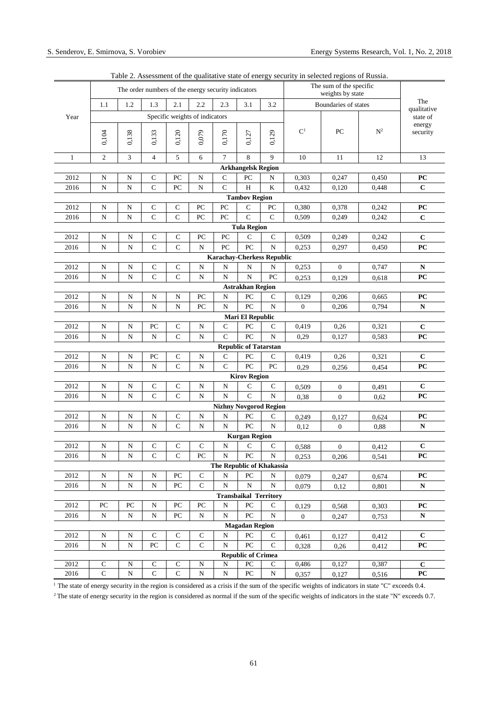|                                                                                                                                       |                |             | The order numbers of the energy security indicators |                |                                |                               | The sum of the specific<br>weights by state |                               |                |                      |                |                         |
|---------------------------------------------------------------------------------------------------------------------------------------|----------------|-------------|-----------------------------------------------------|----------------|--------------------------------|-------------------------------|---------------------------------------------|-------------------------------|----------------|----------------------|----------------|-------------------------|
|                                                                                                                                       | 1.1            | 1.2         | 1.3                                                 | 2.1            | 2.2                            | 2.3                           | 3.1                                         | 3.2                           |                | Boundaries of states |                | The                     |
| Year                                                                                                                                  |                |             |                                                     |                | Specific weights of indicators |                               |                                             |                               |                |                      |                | qualitative<br>state of |
|                                                                                                                                       | 0,104          | 0,138       | 0,133                                               | 0,120          | 0,079                          | 0,170                         | 0,127                                       | 0,129                         | $\mathbf{C}^1$ | PC                   | $\mathbf{N}^2$ | energy<br>security      |
|                                                                                                                                       | $\overline{2}$ |             |                                                     |                |                                |                               | 8                                           |                               |                |                      |                |                         |
| 1                                                                                                                                     |                | 3           | $\overline{4}$                                      | 5              | 6                              | 7                             | <b>Arkhangelsk Region</b>                   | 9                             | 10             | 11                   | 12             | 13                      |
| 2012                                                                                                                                  | N              | N           | $\mathbf C$                                         | PC             | $\mathbf N$                    | C                             | PC                                          | N                             | 0,303          | 0,247                | 0,450          | PC                      |
| 2016                                                                                                                                  | $\mathbf N$    | N           | $\mathbf C$                                         | PC             | N                              | $\mathsf{C}$                  | H                                           | $\bf K$                       | 0.432          | 0,120                | 0,448          | $\mathbf C$             |
| <b>Tambov Region</b>                                                                                                                  |                |             |                                                     |                |                                |                               |                                             |                               |                |                      |                |                         |
| 2012                                                                                                                                  | N              | ${\bf N}$   | C                                                   | $\mathbf C$    | PC                             | PC                            | C                                           | PC                            | 0,380          | 0,378                | 0,242          | PC                      |
| 2016                                                                                                                                  | N              | N           | $\overline{C}$                                      | $\mathbf C$    | PC                             | ${\rm P}{\bf C}$              | $\overline{C}$                              | $\mathsf{C}$                  | 0,509          | 0,249                | 0,242          | $\mathbf C$             |
| <b>Tula Region</b>                                                                                                                    |                |             |                                                     |                |                                |                               |                                             |                               |                |                      |                |                         |
| 2012                                                                                                                                  | $\mathbf N$    | $\mathbf N$ | $\mathbf C$                                         | $\mathbf C$    | PC                             | PC                            | $\mathsf{C}$                                | $\mathsf{C}$                  | 0,509          | 0,249                | 0,242          | $\mathbf C$             |
| 2016                                                                                                                                  | $\mathbf N$    | N           | $\mathbf C$                                         | $\overline{C}$ | N                              | PC                            | PC                                          | $\mathbf N$                   | 0,253          | 0,297                | 0,450          | PC                      |
| <b>Karachay-Cherkess Republic</b>                                                                                                     |                |             |                                                     |                |                                |                               |                                             |                               |                |                      |                |                         |
| 2012                                                                                                                                  | N              | N           | $\mathsf{C}$                                        | $\mathsf C$    | N                              | N                             | N                                           | N                             | 0,253          | $\boldsymbol{0}$     | 0,747          | N                       |
| 2016                                                                                                                                  | N              | N           | $\mathsf{C}$                                        | $\mathsf{C}$   | N                              | $\mathbf N$                   | N                                           | PC                            | 0,253          | 0,129                | 0,618          | PC                      |
|                                                                                                                                       |                |             |                                                     |                |                                |                               | <b>Astrakhan Region</b>                     |                               |                |                      |                |                         |
| 2012                                                                                                                                  | ${\bf N}$      | ${\bf N}$   | N                                                   | ${\bf N}$      | PC                             | N                             | PC                                          | C                             | 0,129          | 0,206                | 0.665          | PC                      |
| $\mathbf N$<br>PC<br>${\bf N}$<br>$\mathbf N$<br>$\mathbf N$<br>PC<br>${\bf N}$<br>N<br>$\overline{0}$<br>0,794<br>2016<br>0,206<br>N |                |             |                                                     |                |                                |                               |                                             |                               |                |                      |                |                         |
| <b>Mari El Republic</b>                                                                                                               |                |             |                                                     |                |                                |                               |                                             |                               |                |                      |                |                         |
| 2012                                                                                                                                  | $\mathbf N$    | ${\bf N}$   | PC                                                  | $\mathbf C$    | ${\bf N}$                      | $\mathbf C$<br>$\overline{C}$ | PC<br>PC                                    | $\mathsf{C}$                  | 0,419          | 0,26                 | 0,321          | $\mathbf C$             |
| 2016                                                                                                                                  | N              | N           | N                                                   | $\mathbf C$    | N                              |                               |                                             | $\mathbf N$                   | 0,29           | 0,127                | 0,583          | PC                      |
| 2012                                                                                                                                  | $\mathbf N$    | ${\bf N}$   | PC                                                  | $\mathsf C$    | $\mathbf N$                    | $\mathsf{C}$                  | <b>Republic of Tatarstan</b><br>PC          | $\mathsf{C}$                  | 0,419          | 0,26                 | 0,321          | $\mathbf C$             |
| 2016                                                                                                                                  | N              | N           | N                                                   | $\mathsf{C}$   | N                              | $\mathsf{C}$                  | PC                                          | PC                            |                |                      |                | PC                      |
|                                                                                                                                       |                |             |                                                     |                |                                |                               | <b>Kirov Region</b>                         |                               | 0,29           | 0,256                | 0,454          |                         |
| 2012                                                                                                                                  | $\mathbf N$    | ${\bf N}$   | $\mathbf C$                                         | $\mathsf C$    | ${\bf N}$                      | ${\bf N}$                     | C                                           | $\mathsf C$                   | 0,509          | $\boldsymbol{0}$     | 0,491          | $\mathbf C$             |
| 2016                                                                                                                                  | $\mathbf N$    | $\mathbf N$ | $\mathbf C$                                         | $\mathbf C$    | $\mathbf N$                    | $\mathbf N$                   | $\mathbf C$                                 | ${\bf N}$                     | 0,38           | $\overline{0}$       | 0,62           | PC                      |
|                                                                                                                                       |                |             |                                                     |                |                                |                               |                                             | <b>Nizhny Novgorod Region</b> |                |                      |                |                         |
| 2012                                                                                                                                  | ${\bf N}$      | ${\bf N}$   | ${\bf N}$                                           | $\mathsf C$    | ${\bf N}$                      | ${\bf N}$                     | PC                                          | $\mathsf{C}$                  | 0,249          | 0,127                | 0,624          | PC                      |
| 2016                                                                                                                                  | N              | N           | N                                                   | $\mathbf C$    | N                              | N                             | PC                                          | N                             | 0,12           | $\overline{0}$       | 0,88           | N                       |
|                                                                                                                                       |                |             |                                                     |                |                                |                               | <b>Kurgan Region</b>                        |                               |                |                      |                |                         |
| 2012                                                                                                                                  | N              | N           | $\mathbf C$                                         | $\mathbf C$    | $\mathsf{C}$                   | N                             | C                                           | C                             | 0,588          | $\boldsymbol{0}$     | 0,412          | $\mathbf C$             |
| 2016                                                                                                                                  | N              | N           | $\mathbf C$                                         | $\mathbf C$    | PC                             | N                             | PC                                          | N                             | 0,253          | 0,206                | 0,541          | PC                      |
| The Republic of Khakassia                                                                                                             |                |             |                                                     |                |                                |                               |                                             |                               |                |                      |                |                         |
| 2012                                                                                                                                  | N              | N           | N                                                   | PC             | C                              | N                             | PC                                          | N                             | 0,079          | 0,247                | 0,674          | PС                      |
| 2016                                                                                                                                  | N              | N           | N                                                   | PC             | C                              | N                             | N                                           | N                             | 0,079          | 0,12                 | 0,801          | N                       |
|                                                                                                                                       |                |             |                                                     |                |                                |                               | <b>Transbaikal Territory</b>                |                               |                |                      |                |                         |
| 2012                                                                                                                                  | PC             | PC          | N                                                   | PC             | PC                             | N                             | PC                                          | C                             | 0,129          | 0,568                | 0,303          | PС                      |
| 2016                                                                                                                                  | ${\bf N}$      | N           | N                                                   | PC             | N                              | $\mathbf N$                   | $\rm{PC}$                                   | N                             | $\overline{0}$ | 0,247                | 0,753          | N                       |
|                                                                                                                                       |                |             |                                                     |                |                                |                               | <b>Magadan Region</b>                       |                               |                |                      |                |                         |
| 2012                                                                                                                                  | N              | N           | $\mathsf{C}$                                        | $\mathbf C$    | C                              | N<br>$\mathbf N$              | PC<br>PC                                    | C                             | 0,461          | 0,127                | 0,412          | $\mathbf{C}$            |
| 2016                                                                                                                                  | ${\bf N}$      | N           | PC                                                  | $\mathsf{C}$   | C                              |                               | <b>Republic of Crimea</b>                   | $\mathsf{C}$                  | 0,328          | 0,26                 | 0,412          | PС                      |
| 2012                                                                                                                                  | ${\bf C}$      | N           | $\mathsf{C}$                                        | $\mathsf{C}$   | N                              | N                             | PC                                          | C                             | 0,486          | 0,127                | 0,387          | $\mathbf{C}$            |
| 2016                                                                                                                                  | $\mathbf{C}$   | ${\bf N}$   | $\mathbf C$                                         | $\mathbf C$    | N                              | ${\bf N}$                     | PC                                          | ${\bf N}$                     | 0,357          | 0,127                | 0,516          | PC                      |

Table 2. Assessment of the qualitative state of energy security in selected regions of Russia.

<sup>1</sup> The state of energy security in the region is considered as a crisis if the sum of the specific weights of indicators in state "C" exceeds 0.4.

<sup>2</sup> The state of energy security in the region is considered as normal if the sum of the specific weights of indicators in the state "N" exceeds 0.7.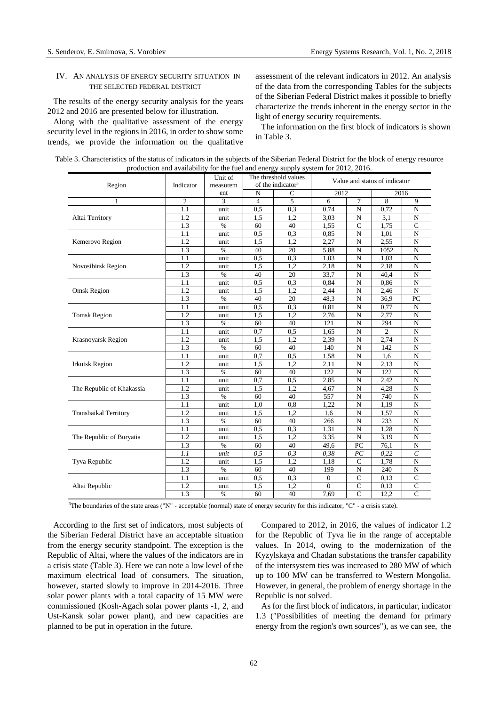# IV. AN ANALYSIS OF ENERGY SECURITY SITUATION IN THE SELECTED FEDERAL DISTRICT

The results of the energy security analysis for the years 2012 and 2016 are presented below for illustration.

Along with the qualitative assessment of the energy security level in the regions in 2016, in order to show some trends, we provide the information on the qualitative assessment of the relevant indicators in 2012. An analysis of the data from the corresponding Tables for the subjects of the Siberian Federal District makes it possible to briefly characterize the trends inherent in the energy sector in the light of energy security requirements.

The information on the first block of indicators is shown in Table 3.

|                              |                | Unit of         |                                         | The threshold values | $p_1$ $p_2$ and a valid life for the fact and energy supply system for 2012, 2010.<br>Value and status of indicator |                |                |                |
|------------------------------|----------------|-----------------|-----------------------------------------|----------------------|---------------------------------------------------------------------------------------------------------------------|----------------|----------------|----------------|
| Region                       | Indicator      | measurem<br>ent | of the indicator <sup>3</sup><br>N<br>C |                      | 2012                                                                                                                |                | 2016           |                |
| 1                            | $\overline{2}$ | 3               | $\overline{4}$                          | $\overline{5}$       | 6                                                                                                                   | $\tau$         | 8              | 9              |
|                              | 1.1            | unit            | 0,5                                     | 0,3                  | 0,74                                                                                                                | $\mathbf N$    | 0,72           | $\mathbf N$    |
| Altai Territory              | 1.2            | unit            | 1.5                                     | 1.2                  | 3,03                                                                                                                | $\mathbf N$    | 3.1            | $\mathbf N$    |
|                              | 1.3            | $\%$            | 60                                      | 40                   | 1,55                                                                                                                | $\mathbf C$    | 1,75           | $\mathsf{C}$   |
|                              | 1.1            | unit            | 0,5                                     | 0,3                  | 0,85                                                                                                                | $\mathbf N$    | 1,01           | $\mathbf N$    |
| Kemerovo Region              | 1.2            | unit            | 1,5                                     | 1,2                  | 2,27                                                                                                                | ${\bf N}$      | 2,55           | $\mathbf N$    |
|                              | 1.3            | $\%$            | 40                                      | 20                   | 5,88                                                                                                                | $\mathbf N$    | 1052           | N              |
|                              | 1.1            | unit            | 0,5                                     | 0.3                  | 1,03                                                                                                                | $\mathbf N$    | 1,03           | N              |
| Novosibirsk Region           | 1.2            | unit            | 1,5                                     | 1,2                  | 2,18                                                                                                                | N              | 2,18           | $\mathbf N$    |
|                              | 1.3            | $\%$            | 40                                      | 20                   | 33,7                                                                                                                | $\mathbf N$    | 40.4           | N              |
|                              | 1.1            | unit            | 0,5                                     | 0.3                  | 0.84                                                                                                                | $\overline{N}$ | 0.86           | N              |
| <b>Omsk Region</b>           | 1.2            | unit            | 1,5                                     | 1,2                  | 2,44                                                                                                                | N              | 2,46           | N              |
|                              | 1.3            | $\%$            | 40                                      | 20                   | 48,3                                                                                                                | ${\bf N}$      | 36,9           | PC             |
|                              | 1.1            | unit            | 0,5                                     | 0,3                  | 0,81                                                                                                                | $\mathbf N$    | 0,77           | N              |
| <b>Tomsk Region</b>          | 1.2            | unit            | 1,5                                     | 1,2                  | 2,76                                                                                                                | N              | 2,77           | $\mathbf N$    |
|                              | 1.3            | $\%$            | 60                                      | 40                   | 121                                                                                                                 | N              | 294            | $\mathbf N$    |
|                              | 1.1            | unit            | 0,7                                     | 0,5                  | 1,65                                                                                                                | $\mathbf N$    | $\overline{c}$ | $\mathbf N$    |
| Krasnoyarsk Region           | 1.2            | unit            | 1,5                                     | 1,2                  | 2,39                                                                                                                | $\overline{N}$ | 2,74           | N              |
|                              | 1.3            | $\%$            | 60                                      | 40                   | 140                                                                                                                 | $\mathbf N$    | 142            | N              |
|                              | 1.1            | unit            | 0,7                                     | 0,5                  | 1,58                                                                                                                | ${\bf N}$      | 1,6            | $\mathbf N$    |
| <b>Irkutsk Region</b>        | 1.2            | unit            | 1,5                                     | 1,2                  | 2,11                                                                                                                | N              | 2,13           | N              |
|                              | 1.3            | $\%$            | 60                                      | 40                   | 122                                                                                                                 | $\mathbf N$    | 122            | N              |
|                              | 1.1            | unit            | 0,7                                     | 0.5                  | 2,85                                                                                                                | $\mathbf N$    | 2,42           | $\mathbf N$    |
| The Republic of Khakassia    | 1.2            | unit            | 1,5                                     | 1,2                  | 4,67                                                                                                                | $\mathbf N$    | 4,28           | N              |
|                              | 1.3            | $\%$            | 60                                      | 40                   | 557                                                                                                                 | ${\bf N}$      | 740            | $\mathbf N$    |
|                              | 1.1            | unit            | 1,0                                     | 0.8                  | 1,22                                                                                                                | N              | 1,19           | N              |
| <b>Transbaikal Territory</b> | 1.2            | unit            | 1,5                                     | 1,2                  | 1,6                                                                                                                 | N              | 1,57           | N              |
|                              | 1.3            | $\%$            | 60                                      | 40                   | 266                                                                                                                 | $\mathbf N$    | 233            | $\mathbf N$    |
|                              | 1.1            | unit            | 0.5                                     | 0.3                  | 1,31                                                                                                                | N              | 1,28           | N              |
| The Republic of Buryatia     | 1.2            | unit            | 1,5                                     | 1,2                  | 3,35                                                                                                                | ${\bf N}$      | 3,19           | $\mathbf N$    |
|                              | 1.3            | $\%$            | 60                                      | 40                   | 49,6                                                                                                                | PC             | 76,1           | $\mathbf N$    |
|                              | 1.1            | unit            | 0,5                                     | 0,3                  | 0,38                                                                                                                | PC             | 0,22           | $\epsilon$     |
| Tyva Republic                | 1.2            | unit            | 1.5                                     | 1,2                  | 1,18                                                                                                                | $\mathsf{C}$   | 1,78           | N              |
|                              | 1.3            | $\%$            | 60                                      | 40                   | 199                                                                                                                 | N              | 240            | N              |
|                              | 1.1            | unit            | 0,5                                     | 0.3                  | $\mathbf{0}$                                                                                                        | $\mathbf C$    | 0.13           | $\mathbf C$    |
| Altai Republic               | 1.2            | unit            | 1,5                                     | 1,2                  | $\overline{0}$                                                                                                      | $\mathsf{C}$   | 0,13           | $\mathsf{C}$   |
|                              | 1.3            | $\%$            | 60                                      | 40                   | 7,69                                                                                                                | $\overline{C}$ | 12,2           | $\overline{C}$ |

Table 3. Characteristics of the status of indicators in the subjects of the Siberian Federal District for the block of energy resource production and availability for the fuel and energy supply system for 2012, 2016.

<sup>3</sup>The boundaries of the state areas ("N" - acceptable (normal) state of energy security for this indicator, "C" - a crisis state).

According to the first set of indicators, most subjects of the Siberian Federal District have an acceptable situation from the energy security standpoint. The exception is the Republic of Altai, where the values of the indicators are in a crisis state (Table 3). Here we can note a low level of the maximum electrical load of consumers. The situation, however, started slowly to improve in 2014-2016. Three solar power plants with a total capacity of 15 MW were commissioned (Kosh-Agach solar power plants -1, 2, and Ust-Kansk solar power plant), and new capacities are planned to be put in operation in the future.

Compared to 2012, in 2016, the values of indicator 1.2 for the Republic of Tyva lie in the range of acceptable values. In 2014, owing to the modernization of the Kyzylskaya and Chadan substations the transfer capability of the intersystem ties was increased to 280 MW of which up to 100 MW can be transferred to Western Mongolia. However, in general, the problem of energy shortage in the Republic is not solved.

As for the first block of indicators, in particular, indicator 1.3 ("Possibilities of meeting the demand for primary energy from the region's own sources"), as we can see, the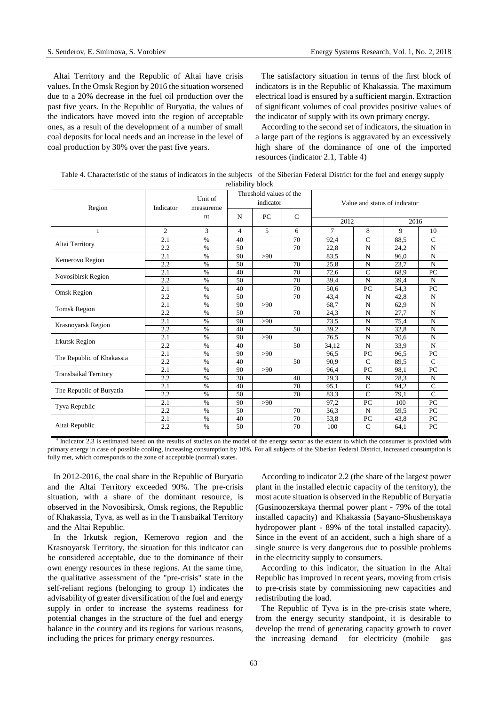Altai Territory and the Republic of Altai have crisis values. In the Omsk Region by 2016 the situation worsened due to a 20% decrease in the fuel oil production over the past five years. In the Republic of Buryatia, the values of the indicators have moved into the region of acceptable ones, as a result of the development of a number of small coal deposits for local needs and an increase in the level of coal production by 30% over the past five years.

The satisfactory situation in terms of the first block of indicators is in the Republic of Khakassia. The maximum electrical load is ensured by a sufficient margin. Extraction of significant volumes of coal provides positive values of the indicator of supply with its own primary energy.

According to the second set of indicators, the situation in a large part of the regions is aggravated by an excessively high share of the dominance of one of the imported resources (indicator 2.1, Table 4)

Table 4. Characteristic of the status of indicators in the subjects of the Siberian Federal District for the fuel and energy supply

| reliability block            |           |                      |                |                                      |               |                               |               |      |               |  |
|------------------------------|-----------|----------------------|----------------|--------------------------------------|---------------|-------------------------------|---------------|------|---------------|--|
| Region                       | Indicator | Unit of<br>measureme |                | Threshold values of the<br>indicator |               | Value and status of indicator |               |      |               |  |
|                              |           | nt                   | N              | PC                                   | $\mathcal{C}$ | 2012<br>2016                  |               |      |               |  |
| 1                            | 2         | 3                    | $\overline{4}$ | 5                                    | 6             | 7                             | 8             | 9    | 10            |  |
|                              | 2.1       | $\%$                 | 40             |                                      | 70            | 92,4                          | $\mathsf{C}$  | 88.5 | $\mathsf{C}$  |  |
| Altai Territory              | 2.2       | $\%$                 | 50             |                                      | 70            | 22.8                          | N             | 24.2 | N             |  |
|                              | 2.1       | $\%$                 | 90             | >90                                  |               | 83.5                          | N             | 96.0 | N             |  |
| Kemerovo Region              | 2.2       | $\%$                 | 50             |                                      | 70            | 25,8                          | N             | 23,7 | N             |  |
| Novosibirsk Region           | 2.1       | $\%$                 | 40             |                                      | 70            | 72,6                          | $\mathsf{C}$  | 68.9 | PC            |  |
|                              | 2.2       | $\%$                 | 50             |                                      | 70            | 39.4                          | N             | 39,4 | N             |  |
| Omsk Region                  | 2.1       | $\%$                 | 40             |                                      | 70            | 50.6                          | PC            | 54.3 | PC            |  |
|                              | 2.2       | $\%$                 | 50             |                                      | 70            | 43,4                          | N             | 42,8 | N             |  |
| <b>Tomsk Region</b>          | 2.1       | $\%$                 | 90             | >90                                  |               | 68.7                          | N             | 62,9 | N             |  |
|                              | 2.2       | $\%$                 | 50             |                                      | 70            | 24,3                          | N             | 27,7 | N             |  |
| Krasnoyarsk Region           | 2.1       | $\%$                 | 90             | >90                                  |               | 73.5                          | N             | 75.4 | N             |  |
|                              | 2.2       | $\%$                 | 40             |                                      | 50            | 39,2                          | N             | 32,8 | N             |  |
| <b>Irkutsk Region</b>        | 2.1       | $\%$                 | 90             | >90                                  |               | 76.5                          | N             | 70,6 | ${\bf N}$     |  |
|                              | 2.2       | $\%$                 | 40             |                                      | 50            | 34,12                         | N             | 33,9 | N             |  |
| The Republic of Khakassia    | 2.1       | $\%$                 | 90             | >90                                  |               | 96.5                          | PC            | 96,5 | PC            |  |
|                              | 2.2       | $\%$                 | 40             |                                      | 50            | 90.9                          | $\mathcal{C}$ | 89.5 | $\mathcal{C}$ |  |
| <b>Transbaikal Territory</b> | 2.1       | $\%$                 | 90             | >90                                  |               | 96,4                          | PC            | 98,1 | PC            |  |
|                              | 2.2       | $\%$                 | 30             |                                      | 40            | 29.3                          | N             | 28,3 | $\mathbf N$   |  |
| The Republic of Buryatia     | 2.1       | $\%$                 | 40             |                                      | 70            | 95,1                          | $\mathsf{C}$  | 94,2 | $\mathsf{C}$  |  |
|                              | 2.2       | $\%$                 | 50             |                                      | 70            | 83.3                          | $\mathcal{C}$ | 79,1 | $\mathsf{C}$  |  |
| Tyva Republic                | 2.1       | $\%$                 | 90             | >90                                  |               | 97,2                          | PC            | 100  | PC            |  |
|                              | 2.2       | $\%$                 | 50             |                                      | 70            | 36,3                          | N             | 59,5 | PC            |  |
|                              | 2.1       | $\%$                 | 40             |                                      | 70            | 53,8                          | PC            | 43,8 | PC            |  |
| Altai Republic               | 2.2       | $\%$                 | 50             |                                      | 70            | 100                           | $\mathcal{C}$ | 64,1 | PC            |  |

<sup>4</sup> Indicator 2.3 is estimated based on the results of studies on the model of the energy sector as the extent to which the consumer is provided with primary energy in case of possible cooling, increasing consumption by 10%. For all subjects of the Siberian Federal District, increased consumption is fully met, which corresponds to the zone of acceptable (normal) states.

In 2012-2016, the coal share in the Republic of Buryatia and the Altai Territory exceeded 90%. The pre-crisis situation, with a share of the dominant resource, is observed in the Novosibirsk, Omsk regions, the Republic of Khakassia, Tyva, as well as in the Transbaikal Territory and the Altai Republic.

In the Irkutsk region, Kemerovo region and the Krasnoyarsk Territory, the situation for this indicator can be considered acceptable, due to the dominance of their own energy resources in these regions. At the same time, the qualitative assessment of the "pre-crisis" state in the self-reliant regions (belonging to group 1) indicates the advisability of greater diversification of the fuel and energy supply in order to increase the systems readiness for potential changes in the structure of the fuel and energy balance in the country and its regions for various reasons, including the prices for primary energy resources.

According to indicator 2.2 (the share of the largest power plant in the installed electric capacity of the territory), the most acute situation is observed in the Republic of Buryatia (Gusinoozerskaya thermal power plant - 79% of the total installed capacity) and Khakassia (Sayano-Shushenskaya hydropower plant - 89% of the total installed capacity). Since in the event of an accident, such a high share of a single source is very dangerous due to possible problems in the electricity supply to consumers.

According to this indicator, the situation in the Altai Republic has improved in recent years, moving from crisis to pre-crisis state by commissioning new capacities and redistributing the load.

The Republic of Tyva is in the pre-crisis state where, from the energy security standpoint, it is desirable to develop the trend of generating capacity growth to cover the increasing demand for electricity (mobile gas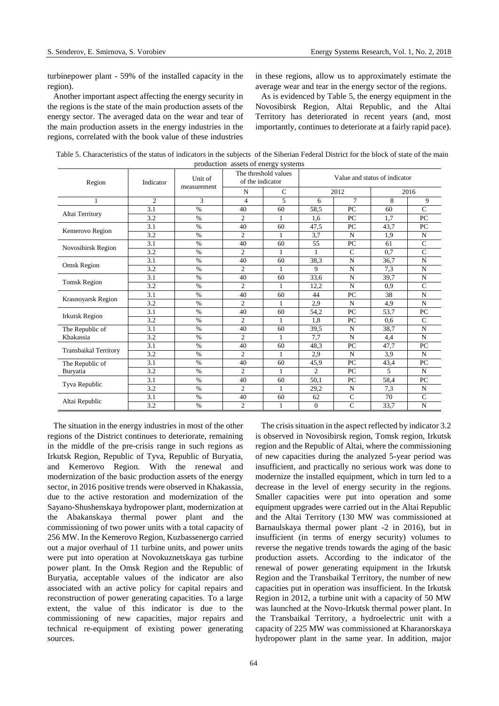turbinepower plant - 59% of the installed capacity in the region).

in these regions, allow us to approximately estimate the average wear and tear in the energy sector of the regions.

Another important aspect affecting the energy security in the regions is the state of the main production assets of the energy sector. The averaged data on the wear and tear of the main production assets in the energy industries in the regions, correlated with the book value of these industries

As is evidenced by Table 5, the energy equipment in the Novosibirsk Region, Altai Republic, and the Altai Territory has deteriorated in recent years (and, most importantly, continues to deteriorate at a fairly rapid pace).

Table 5. Characteristics of the status of indicators in the subjects of the Siberian Federal District for the block of state of the main production assets of energy systems

| Region                       | Indicator      | Unit of<br>measurement | of the indicator | The threshold values | Value and status of indicator |              |      |               |  |
|------------------------------|----------------|------------------------|------------------|----------------------|-------------------------------|--------------|------|---------------|--|
|                              |                |                        | N                | $\mathsf{C}$         |                               | 2012         |      | 2016          |  |
| 1                            | $\mathfrak{2}$ | 3                      | $\overline{4}$   | 5                    | 6                             | $\tau$       | 8    | 9             |  |
| Altai Territory              | 3.1            | $\%$                   | 40               | 60                   | 58,5                          | PC           | 60   | $\mathcal{C}$ |  |
|                              | 3.2            | $\%$                   | $\overline{2}$   | 1                    | 1,6                           | PC           | 1,7  | PC            |  |
|                              | 3.1            | $\%$                   | 40               | 60                   | 47,5                          | PC           | 43.7 | PC            |  |
| Kemerovo Region              | 3.2            | $\frac{0}{0}$          | $\overline{2}$   | 1                    | 3,7                           | N            | 1,9  | N             |  |
|                              | 3.1            | $\%$                   | 40               | 60                   | 55                            | PC           | 61   | $\mathsf{C}$  |  |
| Novosibirsk Region           | 3.2            | $\%$                   | $\mathfrak{2}$   |                      | 1                             | $\mathsf{C}$ | 0,7  | $\mathbf C$   |  |
| Omsk Region                  | 3.1            | $\frac{0}{0}$          | 40               | 60                   | 38,3                          | N            | 36,7 | N             |  |
|                              | 3.2            | $\%$                   | $\overline{2}$   | 1                    | 9                             | $\mathbf N$  | 7.3  | $\mathbf N$   |  |
|                              | 3.1            | $\%$                   | 40               | 60                   | 33,6                          | N            | 39,7 | N             |  |
| <b>Tomsk Region</b>          | 3.2            | $\%$                   | $\overline{c}$   | 1                    | 12,2                          | N            | 0.9  | $\mathsf{C}$  |  |
|                              | 3.1            | $\%$                   | 40               | 60                   | 44                            | PC           | 38   | N             |  |
| Krasnoyarsk Region           | 3.2            | $\%$                   | $\mathfrak{2}$   |                      | 2,9                           | N            | 4,9  | $\mathbf N$   |  |
|                              | 3.1            | $\%$                   | 40               | 60                   | 54,2                          | PC           | 53.7 | PC            |  |
| <b>Irkutsk Region</b>        | 3.2            | $\%$                   | $\overline{2}$   |                      | 1,8                           | PC           | 0.6  | $\mathcal{C}$ |  |
| The Republic of              | 3.1            | $\%$                   | 40               | 60                   | 39,5                          | N            | 38,7 | N             |  |
| Khakassia                    | 3.2            | $\%$                   | $\overline{2}$   | 1                    | 7,7                           | $\mathbf N$  | 4,4  | $\mathbf N$   |  |
|                              | 3.1            | $\%$                   | 40               | 60                   | 48.3                          | PC           | 47,7 | PC            |  |
| <b>Transbaikal Territory</b> | 3.2            | $\%$                   | $\overline{2}$   |                      | 2,9                           | $\mathbf N$  | 3.9  | $\mathbf N$   |  |
| The Republic of              | 3.1            | $\%$                   | 40               | 60                   | 45,9                          | PC           | 43,4 | PC            |  |
| Buryatia                     | 3.2            | $\%$                   | $\overline{2}$   | 1                    | $\overline{2}$                | PC           | 5    | $\mathbf N$   |  |
|                              | 3.1            | $\%$                   | 40               | 60                   | 50,1                          | PC           | 58.4 | PC            |  |
| Tyva Republic                | 3.2            | $\%$                   | $\mathfrak{2}$   |                      | 29,2                          | N            | 7,3  | N             |  |
|                              | 3.1            | $\%$                   | 40               | 60                   | 62                            | $\mathsf{C}$ | 70   | $\mathsf{C}$  |  |
| Altai Republic               | 3.2            | $\%$                   | $\mathfrak{2}$   | 1                    | $\mathbf{0}$                  | $\mathbf C$  | 33,7 | ${\bf N}$     |  |

The situation in the energy industries in most of the other regions of the District continues to deteriorate, remaining in the middle of the pre-crisis range in such regions as Irkutsk Region, Republic of Tyva, Republic of Buryatia, and Kemerovo Region. With the renewal and modernization of the basic production assets of the energy sector, in 2016 positive trends were observed in Khakassia, due to the active restoration and modernization of the Sayano-Shushenskaya hydropower plant, modernization at the Abakanskaya thermal power plant and the commissioning of two power units with a total capacity of 256 MW. In the Kemerovo Region, Kuzbassenergo carried out a major overhaul of 11 turbine units, and power units were put into operation at Novokuznetskaya gas turbine power plant. In the Omsk Region and the Republic of Buryatia, acceptable values of the indicator are also associated with an active policy for capital repairs and reconstruction of power generating capacities. To a large extent, the value of this indicator is due to the commissioning of new capacities, major repairs and technical re-equipment of existing power generating sources.

The crisis situation in the aspect reflected by indicator 3.2 is observed in Novosibirsk region, Tomsk region, Irkutsk region and the Republic of Altai, where the commissioning of new capacities during the analyzed 5-year period was insufficient, and practically no serious work was done to modernize the installed equipment, which in turn led to a decrease in the level of energy security in the regions. Smaller capacities were put into operation and some equipment upgrades were carried out in the Altai Republic and the Altai Territory (130 MW was commissioned at Barnaulskaya thermal power plant -2 in 2016), but in insufficient (in terms of energy security) volumes to reverse the negative trends towards the aging of the basic production assets. According to the indicator of the renewal of power generating equipment in the Irkutsk Region and the Transbaikal Territory, the number of new capacities put in operation was insufficient. In the Irkutsk Region in 2012, a turbine unit with a capacity of 50 MW was launched at the Novo-Irkutsk thermal power plant. In the Transbaikal Territory, a hydroelectric unit with a capacity of 225 MW was commissioned at Kharanorskaya hydropower plant in the same year. In addition, major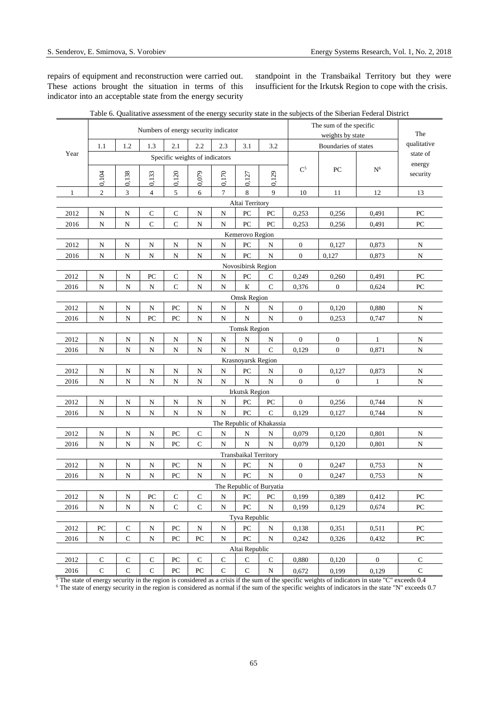repairs of equipment and reconstruction were carried out. These actions brought the situation in terms of this indicator into an acceptable state from the energy security

standpoint in the Transbaikal Territory but they were insufficient for the Irkutsk Region to cope with the crisis.

|                    | Numbers of energy security indicator |                         |                         |                  |                  |             |                              |                           |                  | The sum of the specific<br>weights by state |                |                         |  |
|--------------------|--------------------------------------|-------------------------|-------------------------|------------------|------------------|-------------|------------------------------|---------------------------|------------------|---------------------------------------------|----------------|-------------------------|--|
|                    |                                      |                         | 1.3                     |                  |                  |             |                              |                           |                  | Boundaries of states                        |                |                         |  |
| Year               | 1.1                                  | 1.2                     |                         | 2.1              | 2.2              | 2.3         | 3.1                          | 3.2                       |                  |                                             |                | qualitative<br>state of |  |
|                    | Specific weights of indicators       |                         |                         |                  |                  |             |                              |                           |                  |                                             |                | energy                  |  |
|                    | 0,104                                | 0,138                   | 0,133                   | 0,120            | 0,079            | 0,170       | 0,127                        | 0,129                     | $\mathrm{C}^5$   | PC                                          | N <sup>6</sup> | security                |  |
| 1                  | $\mathfrak{2}$                       | 3                       | $\overline{4}$          | 5                | 6                | $\tau$      | 8                            | 9                         | 10               | 11                                          | 12             | 13                      |  |
| Altai Territory    |                                      |                         |                         |                  |                  |             |                              |                           |                  |                                             |                |                         |  |
| 2012               | N                                    | N                       | $\mathbf C$             | $\mathsf{C}$     | N                | N           | PC                           | PC                        | 0,253            | 0,256                                       | 0,491          | PC                      |  |
| 2016               | ${\bf N}$                            | ${\bf N}$               | $\mathsf C$             | $\mathsf C$      | ${\bf N}$        | ${\bf N}$   | PC                           | PC                        | 0,253            | 0,256                                       | 0,491          | PC                      |  |
| Kemerovo Region    |                                      |                         |                         |                  |                  |             |                              |                           |                  |                                             |                |                         |  |
| 2012               | ${\bf N}$                            | N                       | ${\bf N}$               | ${\bf N}$        | N                | ${\bf N}$   | PC                           | N                         | $\boldsymbol{0}$ | 0,127                                       | 0,873          | N                       |  |
| 2016               | ${\bf N}$                            | N                       | ${\bf N}$               | ${\bf N}$        | ${\bf N}$        | ${\bf N}$   | PC                           | ${\bf N}$                 | $\mathbf{0}$     | 0,127                                       | 0,873          | ${\bf N}$               |  |
| Novosibirsk Region |                                      |                         |                         |                  |                  |             |                              |                           |                  |                                             |                |                         |  |
| 2012               | $\mathbf N$                          | ${\bf N}$               | PC                      | $\mathsf{C}$     | ${\bf N}$        | ${\bf N}$   | PC                           | C                         | 0,249            | 0,260                                       | 0,491          | PC                      |  |
| 2016               | N                                    | N                       | N                       | $\mathsf{C}$     | N                | ${\bf N}$   | ${\bf K}$                    | $\mathbf C$               | 0,376            | $\mathbf{0}$                                | 0,624          | PC                      |  |
| <b>Omsk Region</b> |                                      |                         |                         |                  |                  |             |                              |                           |                  |                                             |                |                         |  |
| 2012               | N                                    | N                       | ${\bf N}$               | PC               | N                | ${\bf N}$   | N                            | N                         | $\boldsymbol{0}$ | 0,120                                       | 0,880          | N                       |  |
| 2016               | ${\bf N}$                            | ${\bf N}$               | PC                      | PC               | ${\bf N}$        | ${\bf N}$   | ${\bf N}$                    | ${\bf N}$                 | $\mathbf{0}$     | 0,253                                       | 0,747          | N                       |  |
|                    |                                      |                         |                         |                  |                  |             | <b>Tomsk Region</b>          |                           |                  |                                             |                |                         |  |
| 2012               | N                                    | N                       | N                       | N                | N                | ${\bf N}$   | N                            | N                         | $\boldsymbol{0}$ | $\boldsymbol{0}$                            | $\mathbf{1}$   | N                       |  |
| 2016               | ${\bf N}$                            | ${\bf N}$               | ${\bf N}$               | N                | ${\bf N}$        | N           | ${\bf N}$                    | $\mathsf{C}$              | 0,129            | $\boldsymbol{0}$                            | 0,871          | $\mathbf N$             |  |
|                    |                                      |                         |                         |                  |                  |             | Krasnoyarsk Region           |                           |                  |                                             |                |                         |  |
| 2012               | N                                    | N                       | N                       | ${\bf N}$        | N                | N           | PC                           | N                         | $\boldsymbol{0}$ | 0,127                                       | 0,873          | N                       |  |
| 2016               | ${\bf N}$                            | ${\bf N}$               | ${\bf N}$               | ${\bf N}$        | ${\bf N}$        | ${\bf N}$   | ${\bf N}$                    | ${\bf N}$                 | $\mathbf{0}$     | $\boldsymbol{0}$                            | 1              | ${\bf N}$               |  |
| 2012               | ${\bf N}$                            | N                       | N                       | N                | N                | ${\bf N}$   | <b>Irkutsk Region</b><br>PC  | PC                        | $\mathbf{0}$     | 0,256                                       | 0,744          | N                       |  |
| 2016               | ${\bf N}$                            | ${\bf N}$               | ${\bf N}$               | ${\bf N}$        | ${\bf N}$        | $\mathbf N$ | PC                           | $\mathbf C$               | 0,129            | 0,127                                       | 0,744          | $\mathbf N$             |  |
|                    |                                      |                         |                         |                  |                  |             |                              | The Republic of Khakassia |                  |                                             |                |                         |  |
| 2012               | $\overline{\mathbf{N}}$              | N                       | $\overline{\mathbf{N}}$ | PC               | $\mathbf C$      | ${\bf N}$   | N                            | N                         | 0,079            | 0,120                                       | 0,801          | N                       |  |
| 2016               | ${\bf N}$                            | N                       | ${\bf N}$               | PC               | ${\bf C}$        | ${\bf N}$   | ${\bf N}$                    | ${\bf N}$                 | 0,079            | 0,120                                       | 0,801          | N                       |  |
|                    |                                      |                         |                         |                  |                  |             | <b>Transbaikal Territory</b> |                           |                  |                                             |                |                         |  |
| 2012               | N                                    | N                       | N                       | PC               | N                | ${\bf N}$   | PC                           | N                         | $\boldsymbol{0}$ | 0,247                                       | 0,753          | N                       |  |
| 2016               | N                                    | N                       | N                       | PC               | N                | ${\bf N}$   | ${\rm P}{\bf C}$             | N                         | $\mathbf{0}$     | 0,247                                       | 0,753          | N                       |  |
|                    |                                      |                         |                         |                  |                  |             |                              | The Republic of Buryatia  |                  |                                             |                |                         |  |
| 2012               | ${\bf N}$                            | $\overline{\mathbf{N}}$ | PC                      | ${\bf C}$        | ${\bf C}$        | N           | PC                           | PC                        | 0,199            | 0,389                                       | 0,412          | ${\rm P}{\bf C}$        |  |
| 2016               | ${\bf N}$                            | ${\bf N}$               | ${\bf N}$               | $\mathbf C$      | ${\bf C}$        | N           | PC                           | ${\bf N}$                 | 0,199            | 0,129                                       | 0,674          | PC                      |  |
|                    |                                      |                         |                         |                  |                  |             | Tyva Republic                |                           |                  |                                             |                |                         |  |
| 2012               | $\rm{PC}$                            | $\mathbf C$             | ${\bf N}$               | PC               | ${\bf N}$        | ${\bf N}$   | PC                           | ${\bf N}$                 | 0,138            | 0,351                                       | 0,511          | PC                      |  |
| 2016               | ${\bf N}$                            | $\mathbf C$             | ${\bf N}$               | ${\rm P}{\bf C}$ | ${\rm P}{\bf C}$ | N           | PC                           | N                         | 0,242            | 0,326                                       | 0,432          | $\rm{PC}$               |  |
|                    |                                      |                         |                         |                  |                  |             | Altai Republic               |                           |                  |                                             |                |                         |  |
| 2012               | C                                    | $\mathsf{C}$            | C                       | PC               | $\mathsf C$      | ${\bf C}$   | C                            | $\mathbf C$               | 0,880            | 0,120                                       | $\mathbf{0}$   | C                       |  |
| 2016               | ${\bf C}$                            | $\mathbf C$             | ${\bf C}$               | ${\rm P}{\bf C}$ | ${\rm P}{\bf C}$ | $\mathbf C$ | ${\bf C}$                    | ${\bf N}$                 | 0,672            | 0,199                                       | 0,129          | $\mathbf C$             |  |

| Table 6. Qualitative assessment of the energy security state in the subjects of the Siberian Federal District |  |  |
|---------------------------------------------------------------------------------------------------------------|--|--|
|                                                                                                               |  |  |

 $5$  The state of energy security in the region is considered as a crisis if the sum of the specific weights of indicators in state "C" exceeds 0.4 <sup>6</sup> The state of energy security in the region is considered as normal if the sum of the specific weights of indicators in the state "N" exceeds 0.7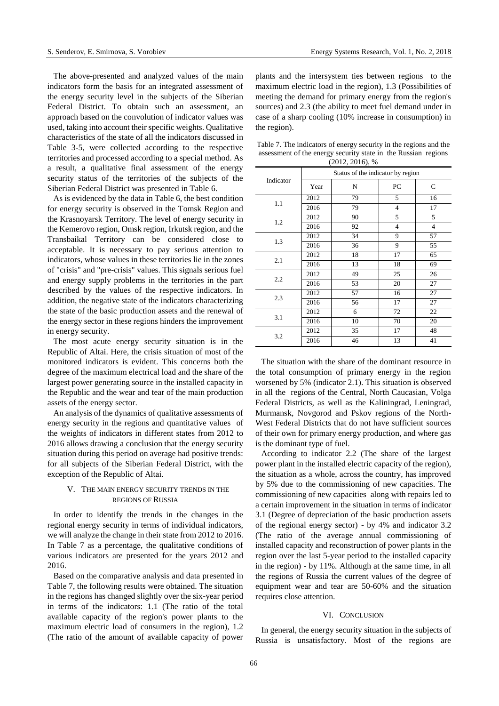The above-presented and analyzed values of the main indicators form the basis for an integrated assessment of the energy security level in the subjects of the Siberian Federal District. To obtain such an assessment, an approach based on the convolution of indicator values was used, taking into account their specific weights. Qualitative characteristics of the state of all the indicators discussed in Table 3-5, were collected according to the respective territories and processed according to a special method. As a result, a qualitative final assessment of the energy security status of the territories of the subjects of the Siberian Federal District was presented in Table 6.

As is evidenced by the data in Table 6, the best condition for energy security is observed in the Tomsk Region and the Krasnoyarsk Territory. The level of energy security in the Kemerovo region, Omsk region, Irkutsk region, and the Transbaikal Territory can be considered close to acceptable. It is necessary to pay serious attention to indicators, whose values in these territories lie in the zones of "crisis" and "pre-crisis" values. This signals serious fuel and energy supply problems in the territories in the part described by the values of the respective indicators. In addition, the negative state of the indicators characterizing the state of the basic production assets and the renewal of the energy sector in these regions hinders the improvement in energy security.

The most acute energy security situation is in the Republic of Altai. Here, the crisis situation of most of the monitored indicators is evident. This concerns both the degree of the maximum electrical load and the share of the largest power generating source in the installed capacity in the Republic and the wear and tear of the main production assets of the energy sector.

An analysis of the dynamics of qualitative assessments of energy security in the regions and quantitative values of the weights of indicators in different states from 2012 to 2016 allows drawing a conclusion that the energy security situation during this period on average had positive trends: for all subjects of the Siberian Federal District, with the exception of the Republic of Altai.

# V. THE MAIN ENERGY SECURITY TRENDS IN THE REGIONS OF RUSSIA

In order to identify the trends in the changes in the regional energy security in terms of individual indicators, we will analyze the change in their state from 2012 to 2016. In Table 7 as a percentage, the qualitative conditions of various indicators are presented for the years 2012 and 2016.

Based on the comparative analysis and data presented in Table 7, the following results were obtained. The situation in the regions has changed slightly over the six-year period in terms of the indicators: 1.1 (The ratio of the total available capacity of the region's power plants to the maximum electric load of consumers in the region), 1.2 (The ratio of the amount of available capacity of power

plants and the intersystem ties between regions to the maximum electric load in the region), 1.3 (Possibilities of meeting the demand for primary energy from the region's sources) and 2.3 (the ability to meet fuel demand under in case of a sharp cooling (10% increase in consumption) in the region).

Table 7. The indicators of energy security in the regions and the assessment of the energy security state in the Russian regions (2012, 2016), %

|           | Status of the indicator by region |    |                |                |  |  |  |  |  |
|-----------|-----------------------------------|----|----------------|----------------|--|--|--|--|--|
| Indicator | Year                              | N  | PC             | $\mathsf{C}$   |  |  |  |  |  |
| 1.1       | 2012                              | 79 | 5              | 16             |  |  |  |  |  |
|           | 2016                              | 79 | $\overline{4}$ | 17             |  |  |  |  |  |
| 1.2       | 2012                              | 90 | 5              | 5              |  |  |  |  |  |
|           | 2016                              | 92 | $\overline{4}$ | $\overline{4}$ |  |  |  |  |  |
| 1.3       | 2012                              | 34 | 9              | 57             |  |  |  |  |  |
|           | 2016                              | 36 | 9              | 55             |  |  |  |  |  |
| 2.1       | 2012                              | 18 | 17             | 65             |  |  |  |  |  |
|           | 2016                              | 13 | 18             | 69             |  |  |  |  |  |
| 2.2       | 2012                              | 49 | 25             | 26             |  |  |  |  |  |
|           | 2016                              | 53 | 20             | 27             |  |  |  |  |  |
|           | 2012                              | 57 | 16             | 27             |  |  |  |  |  |
| 2.3       | 2016                              | 56 | 17             | 27             |  |  |  |  |  |
| 3.1       | 2012                              | 6  | 72             | 22             |  |  |  |  |  |
|           | 2016                              | 10 | 70             | 20             |  |  |  |  |  |
| 3.2       | 2012                              | 35 | 17             | 48             |  |  |  |  |  |
|           | 2016                              | 46 | 13             | 41             |  |  |  |  |  |

The situation with the share of the dominant resource in the total consumption of primary energy in the region worsened by 5% (indicator 2.1). This situation is observed in all the regions of the Central, North Caucasian, Volga Federal Districts, as well as the Kaliningrad, Leningrad, Murmansk, Novgorod and Pskov regions of the North-West Federal Districts that do not have sufficient sources of their own for primary energy production, and where gas is the dominant type of fuel.

According to indicator 2.2 (The share of the largest power plant in the installed electric capacity of the region), the situation as a whole, across the country, has improved by 5% due to the commissioning of new capacities. The commissioning of new capacities along with repairs led to a certain improvement in the situation in terms of indicator 3.1 (Degree of depreciation of the basic production assets of the regional energy sector) - by 4% and indicator 3.2 (The ratio of the average annual commissioning of installed capacity and reconstruction of power plants in the region over the last 5-year period to the installed capacity in the region) - by 11%. Although at the same time, in all the regions of Russia the current values of the degree of equipment wear and tear are 50-60% and the situation requires close attention.

#### VI. CONCLUSION

In general, the energy security situation in the subjects of Russia is unsatisfactory. Most of the regions are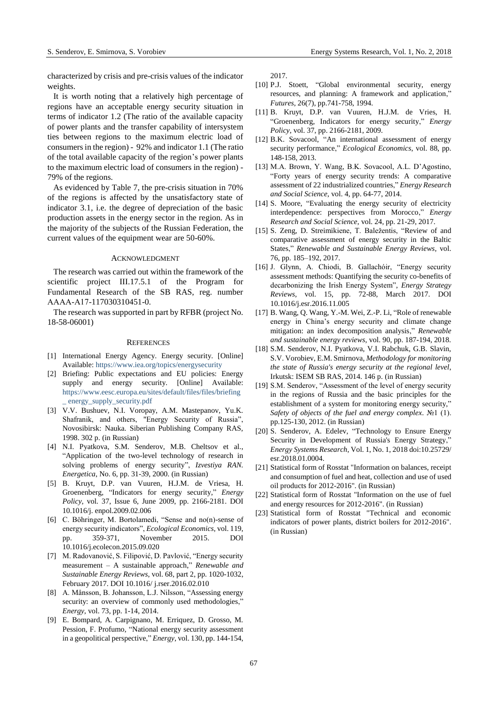characterized by crisis and pre-crisis values of the indicator weights.

It is worth noting that a relatively high percentage of regions have an acceptable energy security situation in terms of indicator 1.2 (The ratio of the available capacity of power plants and the transfer capability of intersystem ties between regions to the maximum electric load of consumers in the region) - 92% and indicator 1.1 (The ratio of the total available capacity of the region's power plants to the maximum electric load of consumers in the region) - 79% of the regions.

As evidenced by Table 7, the pre-crisis situation in 70% of the regions is affected by the unsatisfactory state of indicator 3.1, i.e. the degree of depreciation of the basic production assets in the energy sector in the region. As in the majority of the subjects of the Russian Federation, the current values of the equipment wear are 50-60%.

#### ACKNOWLEDGMENT

The research was carried out within the framework of the scientific project III.17.5.1 of the Program for Fundamental Research of the SB RAS, reg. number АААА-А17-117030310451-0.

The research was supported in part by RFBR (project No. 18-58-06001)

#### **REFERENCES**

- [1] International Energy Agency. Energy security. [Online] Available: <https://www.iea.org/topics/energysecurity>
- [2] Briefing: Public expectations and EU policies: Energy supply and energy security. [Online] Available: [https://www.eesc.europa.eu/sites/default/files/files/briefing](https://www.eesc.europa.eu/sites/default/files/files/briefing_%20energy_supply_security.pdf) [\\_ energy\\_supply\\_security.pdf](https://www.eesc.europa.eu/sites/default/files/files/briefing_%20energy_supply_security.pdf)
- [3] V.V. Bushuev, N.I. Voropay, A.M. Mastepanov, Yu.K. Shafranik, and others, "Energy Security of Russia", Novosibirsk: Nauka. Siberian Publishing Company RAS, 1998. 302 p. (in Russian)
- [4] N.I. Pyatkova, S.M. Senderov, M.B. Cheltsov et al., "Application of the two-level technology of research in solving problems of energy security", *Izvestiya RAN. Energetica*, No. 6, pp. 31-39, 2000. (in Russian)
- [5] B. Kruyt, D.P. van Vuuren, H.J.M. de Vriesa, H. Groenenberg, "Indicators for energy security," *Energy Policy*, vol. 37, Issue 6, June 2009, pp. 2166-2181. DOI 10.1016/j. enpol.2009.02.006
- [6] C. Böhringer, M. Bortolamedi, "Sense and no(n)-sense of energy security indicators", *Ecological Economics*, vol. 119, pp. 359-371, November 2015. DOI 10.1016/j.ecolecon.2015.09.020
- [7] M. Radovanović, S. Filipović, D. Pavlović, "Energy security measurement – A sustainable approach," *Renewable and Sustainable Energy Reviews*, vol. 68, part 2, pp. 1020-1032, February 2017. DOI 10.1016/ j.rser.2016.02.010
- [8] A. Månsson, B. Johansson, L.J. Nilsson, "Assessing energy security: an overview of commonly used methodologies,' *Energy,* vol. 73, pp. 1-14, 2014.
- [9] E. Bompard, A. Carpignano, M. Erriquez, D. Grosso, M. Pession, F. Profumo, "National energy security assessment in a geopolitical perspective," *Energy*, vol. 130, pp. 144-154,

2017.

- [10] P.J. Stoett, "Global environmental security, energy resources, and planning: A framework and application, *Futures,* 26(7), pp.741-758, 1994.
- [11] B. Kruyt, D.P. van Vuuren, H.J.M. de Vries, H. "Groenenberg, Indicators for energy security," *Energy Policy*, vol. 37, pp. 2166-2181, 2009.
- [12] B.K. Sovacool, "An international assessment of energy security performance," *Ecological Economics*, vol. 88, pp. 148-158, 2013.
- [13] M.A. Brown, Y. Wang, B.K. Sovacool, A.L. D'Agostino, "Forty years of energy security trends: A comparative assessment of 22 industrialized countries," *Energy Research and Social Science*, vol. 4, pp. 64-77, 2014.
- [14] S. Moore, "Evaluating the energy security of electricity interdependence: perspectives from Morocco," *Energy Research and Social Science*, vol. 24, pp. 21-29, 2017.
- [15] S. Zeng, D. Streimikiene, T. Baležentis, "Review of and comparative assessment of energy security in the Baltic States," *Renewable and Sustainable Energy Reviews*, vol. 76, pp. 185–192, 2017.
- [16] J. Glynn, A. Chiodi, B. Gallachóir, "Energy security assessment methods: Quantifying the security co-benefits of decarbonizing the Irish Energy System", *Energy Strategy Reviews,* vol. 15, pp. 72-88, March 2017. DOI 10.1016/j.esr.2016.11.005
- [17] B. Wang, Q. Wang, Y.-M. Wei, Z.-P. Li, "Role of renewable energy in China's energy security and climate change mitigation: an index decomposition analysis," *Renewable and sustainable energy reviews,* vol. 90, pp. 187-194, 2018.
- [18] S.M. Senderov, N.I. Pyatkova, V.I. Rabchuk, G.B. Slavin, S.V. Vorobiev, E.M. Smirnova, *Methodology for monitoring the state of Russia's energy security at the regional level*, Irkutsk: ISEM SB RAS, 2014. 146 p. (in Russian)
- [19] S.M. Senderov, "Assessment of the level of energy security in the regions of Russia and the basic principles for the establishment of a system for monitoring energy security," *Safety of objects of the fuel and energy complex*. №1 (1). pp.125-130, 2012. (in Russian)
- [20] S. Senderov, A. Edelev, "Technology to Ensure Energy Security in Development of Russia's Energy Strategy," *Energy Systems Research*, Vol. 1, No. 1, 2018 doi:10.25729/ esr.2018.01.0004.
- [21] Statistical form of Rosstat "Information on balances, receipt and consumption of fuel and heat, collection and use of used oil products for 2012-2016". (in Russian)
- [22] Statistical form of Rosstat "Information on the use of fuel and energy resources for 2012-2016". (in Russian)
- [23] Statistical form of Rosstat "Technical and economic indicators of power plants, district boilers for 2012-2016". (in Russian)